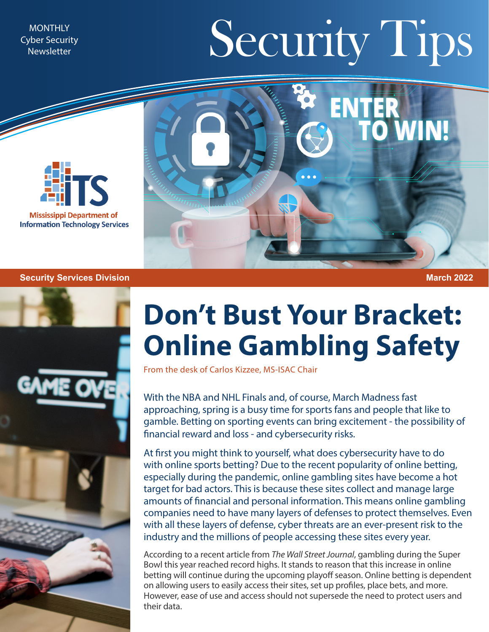Cyber Security **Newsletter** 

## MONTHLY Newsletter Security Security Tips



## ENTER<br>TO WIN!

## **Security Services Division March 2022**



## **Don't Bust Your Bracket: Online Gambling Safety**

From the desk of Carlos Kizzee, MS-ISAC Chair

With the NBA and NHL Finals and, of course, March Madness fast approaching, spring is a busy time for sports fans and people that like to gamble. Betting on sporting events can bring excitement - the possibility of financial reward and loss - and cybersecurity risks.

At first you might think to yourself, what does cybersecurity have to do with online sports betting? Due to the recent popularity of online betting, especially during the pandemic, online gambling sites have become a hot target for bad actors. This is because these sites collect and manage large amounts of financial and personal information. This means online gambling companies need to have many layers of defenses to protect themselves. Even with all these layers of defense, cyber threats are an ever-present risk to the industry and the millions of people accessing these sites every year.

According to a recent article from *The Wall Street Journal*, gambling during the Super Bowl this year reached record highs. It stands to reason that this increase in online betting will continue during the upcoming playoff season. Online betting is dependent on allowing users to easily access their sites, set up profiles, place bets, and more. However, ease of use and access should not supersede the need to protect users and their data.